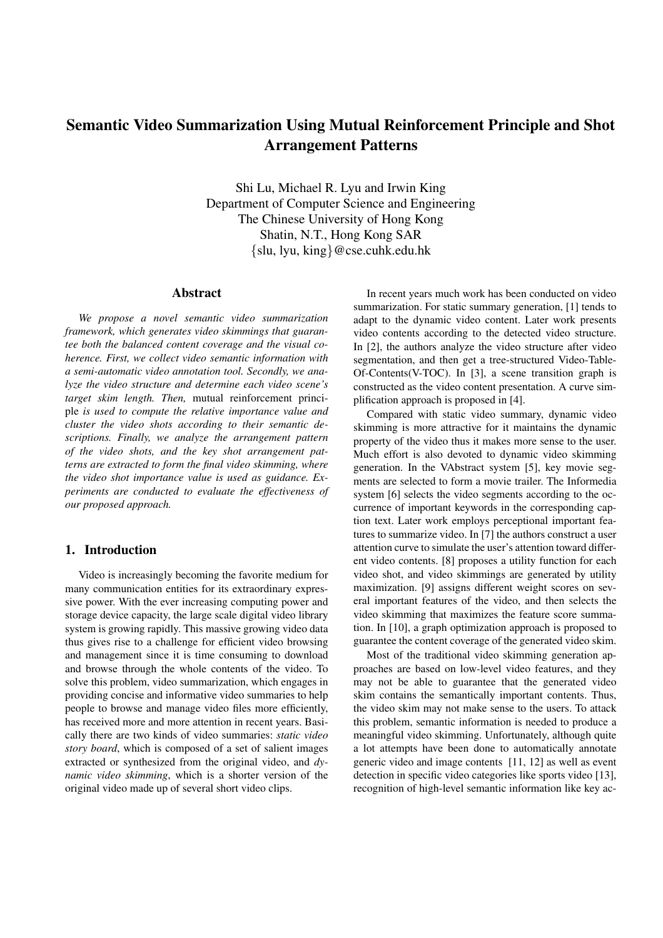# **Semantic Video Summarization Using Mutual Reinforcement Principle and Shot Arrangement Patterns**

Shi Lu, Michael R. Lyu and Irwin King Department of Computer Science and Engineering The Chinese University of Hong Kong Shatin, N.T., Hong Kong SAR {slu, lyu, king}@cse.cuhk.edu.hk

#### **Abstract**

*We propose a novel semantic video summarization framework, which generates video skimmings that guarantee both the balanced content coverage and the visual coherence. First, we collect video semantic information with a semi-automatic video annotation tool. Secondly, we analyze the video structure and determine each video scene's target skim length. Then,* mutual reinforcement principle *is used to compute the relative importance value and cluster the video shots according to their semantic descriptions. Finally, we analyze the arrangement pattern of the video shots, and the key shot arrangement patterns are extracted to form the final video skimming, where the video shot importance value is used as guidance. Experiments are conducted to evaluate the effectiveness of our proposed approach.*

### **1. Introduction**

Video is increasingly becoming the favorite medium for many communication entities for its extraordinary expressive power. With the ever increasing computing power and storage device capacity, the large scale digital video library system is growing rapidly. This massive growing video data thus gives rise to a challenge for efficient video browsing and management since it is time consuming to download and browse through the whole contents of the video. To solve this problem, video summarization, which engages in providing concise and informative video summaries to help people to browse and manage video files more efficiently, has received more and more attention in recent years. Basically there are two kinds of video summaries: *static video story board*, which is composed of a set of salient images extracted or synthesized from the original video, and *dynamic video skimming*, which is a shorter version of the original video made up of several short video clips.

In recent years much work has been conducted on video summarization. For static summary generation, [1] tends to adapt to the dynamic video content. Later work presents video contents according to the detected video structure. In [2], the authors analyze the video structure after video segmentation, and then get a tree-structured Video-Table-Of-Contents(V-TOC). In [3], a scene transition graph is constructed as the video content presentation. A curve simplification approach is proposed in [4].

Compared with static video summary, dynamic video skimming is more attractive for it maintains the dynamic property of the video thus it makes more sense to the user. Much effort is also devoted to dynamic video skimming generation. In the VAbstract system [5], key movie segments are selected to form a movie trailer. The Informedia system [6] selects the video segments according to the occurrence of important keywords in the corresponding caption text. Later work employs perceptional important features to summarize video. In [7] the authors construct a user attention curve to simulate the user's attention toward different video contents. [8] proposes a utility function for each video shot, and video skimmings are generated by utility maximization. [9] assigns different weight scores on several important features of the video, and then selects the video skimming that maximizes the feature score summation. In [10], a graph optimization approach is proposed to guarantee the content coverage of the generated video skim.

Most of the traditional video skimming generation approaches are based on low-level video features, and they may not be able to guarantee that the generated video skim contains the semantically important contents. Thus, the video skim may not make sense to the users. To attack this problem, semantic information is needed to produce a meaningful video skimming. Unfortunately, although quite a lot attempts have been done to automatically annotate generic video and image contents [11, 12] as well as event detection in specific video categories like sports video [13]. recognition of high-level semantic information like key ac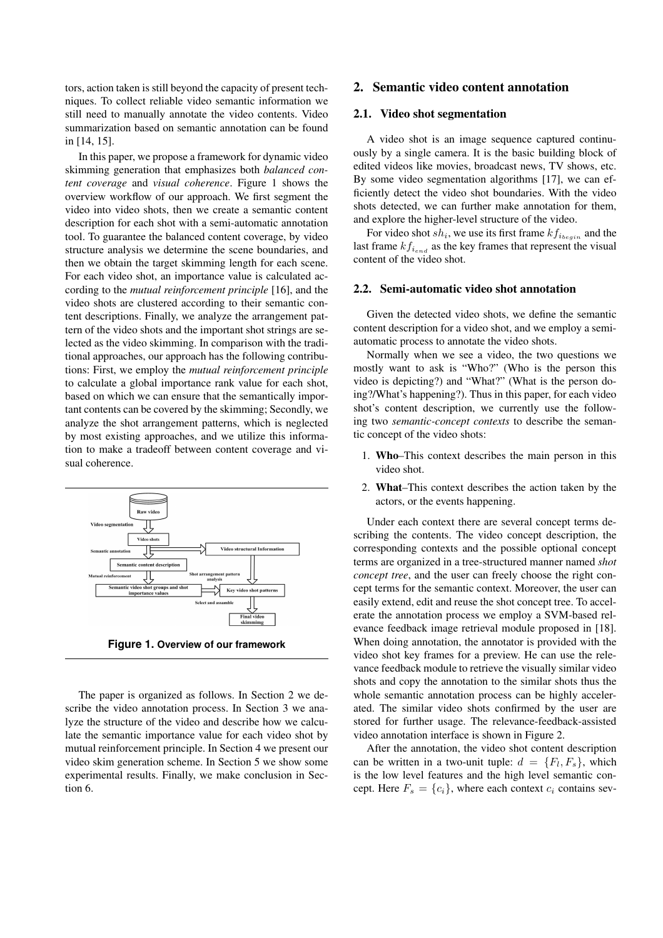tors, action taken is still beyond the capacity of present techniques. To collect reliable video semantic information we still need to manually annotate the video contents. Video summarization based on semantic annotation can be found in [14, 15].

In this paper, we propose a framework for dynamic video skimming generation that emphasizes both *balanced content coverage* and *visual coherence*. Figure 1 shows the overview workflow of our approach. We first segment the video into video shots, then we create a semantic content description for each shot with a semi-automatic annotation tool. To guarantee the balanced content coverage, by video structure analysis we determine the scene boundaries, and then we obtain the target skimming length for each scene. For each video shot, an importance value is calculated according to the *mutual reinforcement principle* [16], and the video shots are clustered according to their semantic content descriptions. Finally, we analyze the arrangement pattern of the video shots and the important shot strings are selected as the video skimming. In comparison with the traditional approaches, our approach has the following contributions: First, we employ the *mutual reinforcement principle* to calculate a global importance rank value for each shot, based on which we can ensure that the semantically important contents can be covered by the skimming; Secondly, we analyze the shot arrangement patterns, which is neglected by most existing approaches, and we utilize this information to make a tradeoff between content coverage and visual coherence.



The paper is organized as follows. In Section 2 we describe the video annotation process. In Section 3 we analyze the structure of the video and describe how we calculate the semantic importance value for each video shot by mutual reinforcement principle. In Section 4 we present our video skim generation scheme. In Section 5 we show some experimental results. Finally, we make conclusion in Section 6.

# **2. Semantic video content annotation**

#### **2.1. Video shot segmentation**

A video shot is an image sequence captured continuously by a single camera. It is the basic building block of edited videos like movies, broadcast news, TV shows, etc. By some video segmentation algorithms [17], we can efficiently detect the video shot boundaries. With the video shots detected, we can further make annotation for them, and explore the higher-level structure of the video.

For video shot  $sh_i$ , we use its first frame  $kf_{i_{begin}}$  and the last frame  $k f_{i_{end}}$  as the key frames that represent the visual content of the video shot.

# **2.2. Semi-automatic video shot annotation**

Given the detected video shots, we define the semantic content description for a video shot, and we employ a semiautomatic process to annotate the video shots.

Normally when we see a video, the two questions we mostly want to ask is "Who?" (Who is the person this video is depicting?) and "What?" (What is the person doing?/What's happening?). Thus in this paper, for each video shot's content description, we currently use the following two *semantic-concept contexts* to describe the semantic concept of the video shots:

- 1. **Who**–This context describes the main person in this video shot.
- 2. **What**–This context describes the action taken by the actors, or the events happening.

Under each context there are several concept terms describing the contents. The video concept description, the corresponding contexts and the possible optional concept terms are organized in a tree-structured manner named *shot concept tree*, and the user can freely choose the right concept terms for the semantic context. Moreover, the user can easily extend, edit and reuse the shot concept tree. To accelerate the annotation process we employ a SVM-based relevance feedback image retrieval module proposed in [18]. When doing annotation, the annotator is provided with the video shot key frames for a preview. He can use the relevance feedback module to retrieve the visually similar video shots and copy the annotation to the similar shots thus the whole semantic annotation process can be highly accelerated. The similar video shots confirmed by the user are stored for further usage. The relevance-feedback-assisted video annotation interface is shown in Figure 2.

After the annotation, the video shot content description can be written in a two-unit tuple:  $d = \{F_l, F_s\}$ , which is the low level features and the high level semantic concept. Here  $F_s = \{c_i\}$ , where each context  $c_i$  contains sev-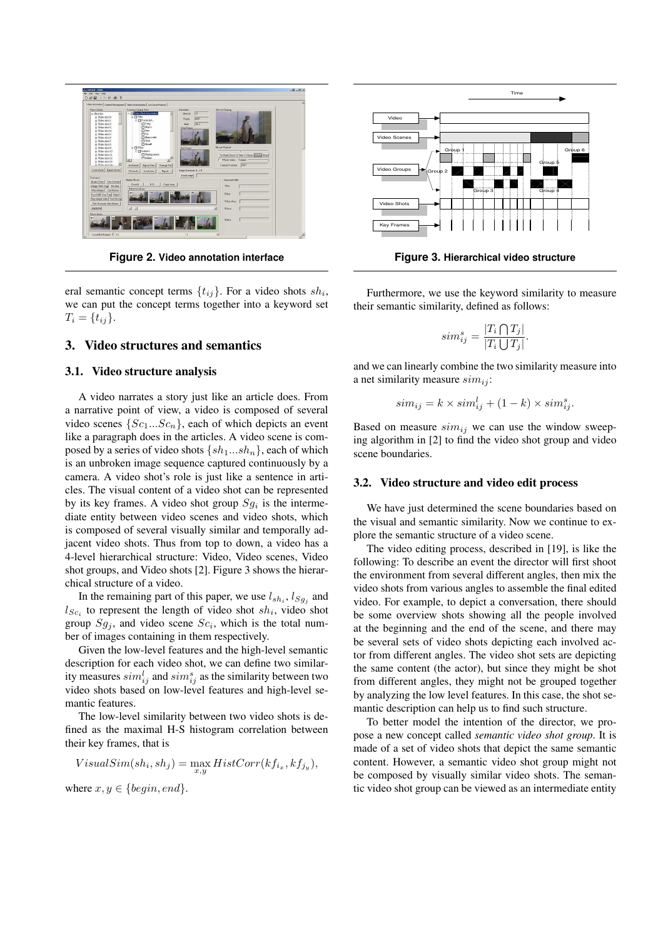

**Figure 2. Video annotation interface**

eral semantic concept terms  $\{t_{ij}\}\$ . For a video shots  $sh_i$ , we can put the concept terms together into a keyword set  $T_i = \{t_{ij}\}.$ 

### **3. Video structures and semantics**

# **3.1. Video structure analysis**

A video narrates a story just like an article does. From a narrative point of view, a video is composed of several video scenes  $\{Sc_1...Sc_n\}$ , each of which depicts an event like a paragraph does in the articles. A video scene is composed by a series of video shots  $\{sh_1...sh_n\}$ , each of which is an unbroken image sequence captured continuously by a camera. A video shot's role is just like a sentence in articles. The visual content of a video shot can be represented by its key frames. A video shot group  $Sg_i$  is the intermediate entity between video scenes and video shots, which is composed of several visually similar and temporally adjacent video shots. Thus from top to down, a video has a 4-level hierarchical structure: Video, Video scenes, Video shot groups, and Video shots [2]. Figure 3 shows the hierarchical structure of a video.

In the remaining part of this paper, we use  $l_{sh_i}$ ,  $l_{Sg_j}$  and  $l_{Sc_i}$  to represent the length of video shot  $sh_i$ , video shot group  $Sg_j$ , and video scene  $Sc_i$ , which is the total number of images containing in them respectively.

Given the low-level features and the high-level semantic description for each video shot, we can define two similarity measures  $sim_{ij}^l$  and  $sim_{ij}^s$  as the similarity between two video shots based on low-level features and high-level semantic features.

The low-level similarity between two video shots is defined as the maximal H-S histogram correlation between their key frames, that is

$$
VisualSim(sh_i, sh_j) = \max_{x,y} HistCorr(kf_{i_x}, kf_{j_y}),
$$
  
where  $x, y \in \{begin, end\}.$ 



**Figure 3. Hierarchical video structure**

Furthermore, we use the keyword similarity to measure their semantic similarity, defined as follows:

$$
sim_{ij}^{s} = \frac{|T_i \bigcap T_j|}{|T_i \bigcup T_j|}.
$$

and we can linearly combine the two similarity measure into a net similarity measure  $sim_{ij}$ :

$$
sim_{ij} = k \times sim_{ij}^{l} + (1 - k) \times sim_{ij}^{s}.
$$

Based on measure  $sim_{ij}$  we can use the window sweeping algorithm in [2] to find the video shot group and video scene boundaries.

#### **3.2. Video structure and video edit process**

We have just determined the scene boundaries based on the visual and semantic similarity. Now we continue to explore the semantic structure of a video scene.

The video editing process, described in [19], is like the following: To describe an event the director will first shoot the environment from several different angles, then mix the video shots from various angles to assemble the final edited video. For example, to depict a conversation, there should be some overview shots showing all the people involved at the beginning and the end of the scene, and there may be several sets of video shots depicting each involved actor from different angles. The video shot sets are depicting the same content (the actor), but since they might be shot from different angles, they might not be grouped together by analyzing the low level features. In this case, the shot semantic description can help us to find such structure.

To better model the intention of the director, we propose a new concept called *semantic video shot group*. It is made of a set of video shots that depict the same semantic content. However, a semantic video shot group might not be composed by visually similar video shots. The semantic video shot group can be viewed as an intermediate entity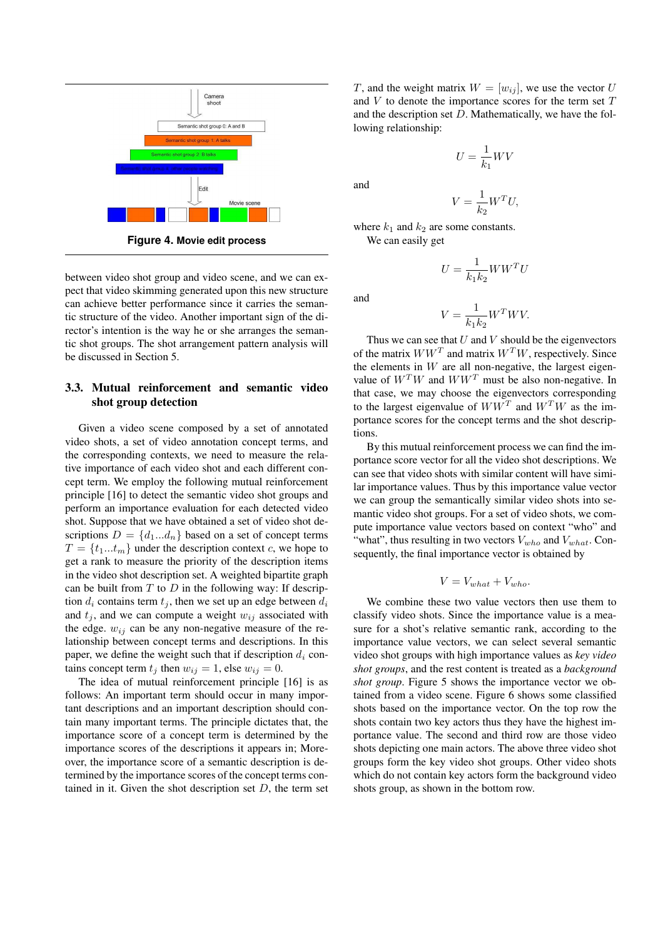

between video shot group and video scene, and we can expect that video skimming generated upon this new structure can achieve better performance since it carries the semantic structure of the video. Another important sign of the director's intention is the way he or she arranges the semantic shot groups. The shot arrangement pattern analysis will be discussed in Section 5.

# **3.3. Mutual reinforcement and semantic video shot group detection**

Given a video scene composed by a set of annotated video shots, a set of video annotation concept terms, and the corresponding contexts, we need to measure the relative importance of each video shot and each different concept term. We employ the following mutual reinforcement principle [16] to detect the semantic video shot groups and perform an importance evaluation for each detected video shot. Suppose that we have obtained a set of video shot descriptions  $D = \{d_1...d_n\}$  based on a set of concept terms  $T = \{t_1...t_m\}$  under the description context c, we hope to get a rank to measure the priority of the description items in the video shot description set. A weighted bipartite graph can be built from  $T$  to  $D$  in the following way: If description  $d_i$  contains term  $t_j$ , then we set up an edge between  $d_i$ and  $t_i$ , and we can compute a weight  $w_{ij}$  associated with the edge.  $w_{ij}$  can be any non-negative measure of the relationship between concept terms and descriptions. In this paper, we define the weight such that if description  $d_i$  contains concept term  $t_i$  then  $w_{ij} = 1$ , else  $w_{ij} = 0$ .

The idea of mutual reinforcement principle [16] is as follows: An important term should occur in many important descriptions and an important description should contain many important terms. The principle dictates that, the importance score of a concept term is determined by the importance scores of the descriptions it appears in; Moreover, the importance score of a semantic description is determined by the importance scores of the concept terms contained in it. Given the shot description set  $D$ , the term set T, and the weight matrix  $W = [w_{ij}]$ , we use the vector U and  $V$  to denote the importance scores for the term set  $T$ and the description set D. Mathematically, we have the following relationship:

and

and

$$
V = \frac{1}{k_2} W^T U,
$$

 $\frac{1}{k_1}WV$ 

 $U=\frac{1}{l}$ 

where  $k_1$  and  $k_2$  are some constants. We can easily get

> $U=\frac{1}{1-\lambda}$  $\frac{1}{k_1k_2}WW^TU$

$$
V = \frac{1}{k_1 k_2} W^T W V.
$$

Thus we can see that  $U$  and  $V$  should be the eigenvectors of the matrix  $WW^T$  and matrix  $W^TW$ , respectively. Since the elements in  $W$  are all non-negative, the largest eigenvalue of  $W^T W$  and  $WW^T$  must be also non-negative. In that case, we may choose the eigenvectors corresponding to the largest eigenvalue of  $WW^T$  and  $W^TW$  as the importance scores for the concept terms and the shot descriptions.

By this mutual reinforcement process we can find the importance score vector for all the video shot descriptions. We can see that video shots with similar content will have similar importance values. Thus by this importance value vector we can group the semantically similar video shots into semantic video shot groups. For a set of video shots, we compute importance value vectors based on context "who" and "what", thus resulting in two vectors  $V_{who}$  and  $V_{what}$ . Consequently, the final importance vector is obtained by

$$
V = V_{what} + V_{who}.
$$

We combine these two value vectors then use them to classify video shots. Since the importance value is a measure for a shot's relative semantic rank, according to the importance value vectors, we can select several semantic video shot groups with high importance values as *key video shot groups*, and the rest content is treated as a *background shot group*. Figure 5 shows the importance vector we obtained from a video scene. Figure 6 shows some classified shots based on the importance vector. On the top row the shots contain two key actors thus they have the highest importance value. The second and third row are those video shots depicting one main actors. The above three video shot groups form the key video shot groups. Other video shots which do not contain key actors form the background video shots group, as shown in the bottom row.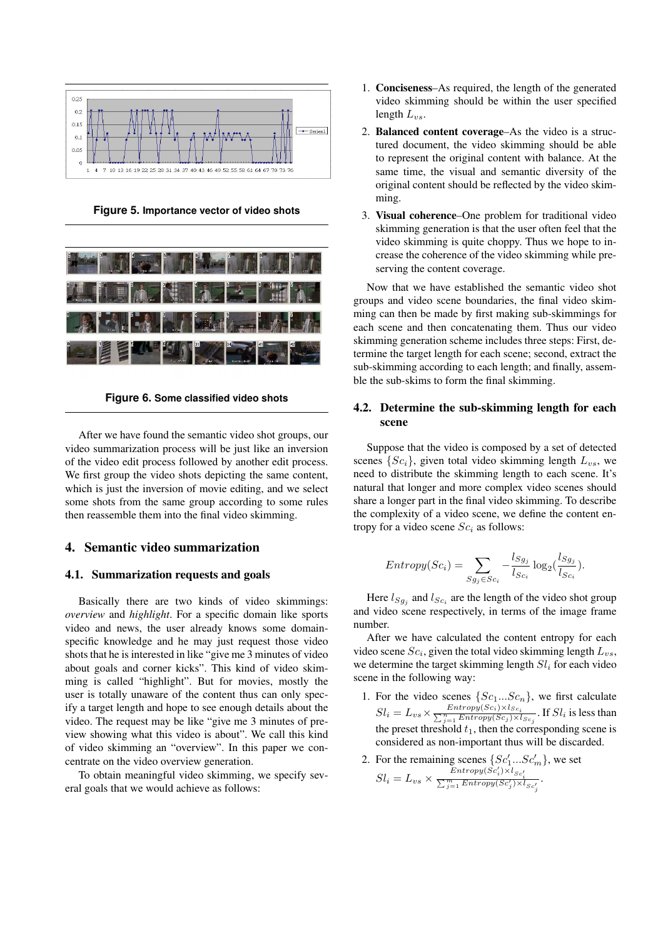

**Figure 5. Importance vector of video shots**



**Figure 6. Some classified video shots**

After we have found the semantic video shot groups, our video summarization process will be just like an inversion of the video edit process followed by another edit process. We first group the video shots depicting the same content, which is just the inversion of movie editing, and we select some shots from the same group according to some rules then reassemble them into the final video skimming.

#### **4. Semantic video summarization**

#### **4.1. Summarization requests and goals**

Basically there are two kinds of video skimmings: *overview* and *highlight*. For a specific domain like sports video and news, the user already knows some domainspecific knowledge and he may just request those video shots that he is interested in like "give me 3 minutes of video about goals and corner kicks". This kind of video skimming is called "highlight". But for movies, mostly the user is totally unaware of the content thus can only specify a target length and hope to see enough details about the video. The request may be like "give me 3 minutes of preview showing what this video is about". We call this kind of video skimming an "overview". In this paper we concentrate on the video overview generation.

To obtain meaningful video skimming, we specify several goals that we would achieve as follows:

- 1. **Conciseness**–As required, the length of the generated video skimming should be within the user specified length  $L_{vs}.$
- 2. **Balanced content coverage**–As the video is a structured document, the video skimming should be able to represent the original content with balance. At the same time, the visual and semantic diversity of the original content should be reflected by the video skimming.
- 3. **Visual coherence**–One problem for traditional video skimming generation is that the user often feel that the video skimming is quite choppy. Thus we hope to increase the coherence of the video skimming while preserving the content coverage.

Now that we have established the semantic video shot groups and video scene boundaries, the final video skimming can then be made by first making sub-skimmings for each scene and then concatenating them. Thus our video skimming generation scheme includes three steps: First, determine the target length for each scene; second, extract the sub-skimming according to each length; and finally, assemble the sub-skims to form the final skimming.

# **4.2. Determine the sub-skimming length for each scene**

Suppose that the video is composed by a set of detected scenes  $\{Sc_i\}$ , given total video skimming length  $L_{vs}$ , we need to distribute the skimming length to each scene. It's natural that longer and more complex video scenes should share a longer part in the final video skimming. To describe the complexity of a video scene, we define the content entropy for a video scene  $Sc<sub>i</sub>$  as follows:

$$
Entropy(Sc_i) = \sum_{Sg_j \in Sc_i} -\frac{l_{Sg_j}}{l_{Sc_i}} \log_2(\frac{l_{Sg_j}}{l_{Sc_i}}).
$$

Here  $l_{Sg_j}$  and  $l_{Sc_i}$  are the length of the video shot group and video scene respectively, in terms of the image frame number.

After we have calculated the content entropy for each video scene  $Sc_i$ , given the total video skimming length  $L_{vs}$ , we determine the target skimming length  $Sl<sub>i</sub>$  for each video scene in the following way:

- 1. For the video scenes  $\{Sc_1...Sc_n\}$ , we first calculate  $Sl_i = L_{vs} \times \frac{Entropy(Sc_i) \times l_{Sc_i}}{\sum_{j=1}^{n} Entropy(Sc_j) \times l_{Sc_j}}$ . If  $Sl_i$  is less than the preset threshold  $t_1$ , then the corresponding scene is considered as non-important thus will be discarded.
- 2. For the remaining scenes  $\{Sc'_1...Sc'_m\}$ , we set  $Sl_i = L_{vs} \times \frac{Entropy(Sc_i') \times l_{Sc_i'}}{\sum_{j=1}^{m} Entropy(Sc_j') \times l_{Sc_j'}}$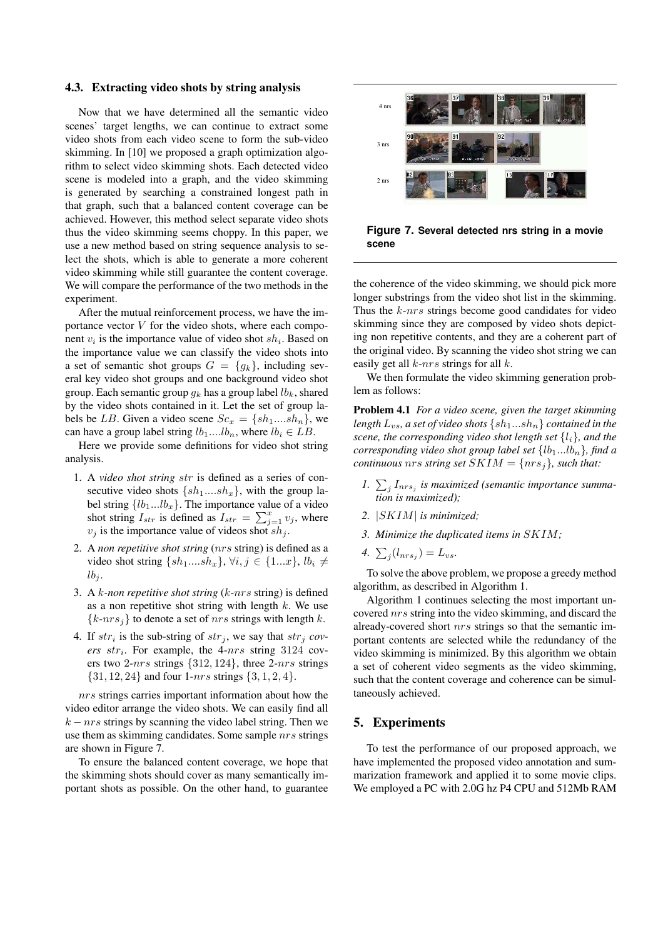#### **4.3. Extracting video shots by string analysis**

Now that we have determined all the semantic video scenes' target lengths, we can continue to extract some video shots from each video scene to form the sub-video skimming. In [10] we proposed a graph optimization algorithm to select video skimming shots. Each detected video scene is modeled into a graph, and the video skimming is generated by searching a constrained longest path in that graph, such that a balanced content coverage can be achieved. However, this method select separate video shots thus the video skimming seems choppy. In this paper, we use a new method based on string sequence analysis to select the shots, which is able to generate a more coherent video skimming while still guarantee the content coverage. We will compare the performance of the two methods in the experiment.

After the mutual reinforcement process, we have the importance vector  $V$  for the video shots, where each component  $v_i$  is the importance value of video shot  $sh_i$ . Based on the importance value we can classify the video shots into a set of semantic shot groups  $G = \{g_k\}$ , including several key video shot groups and one background video shot group. Each semantic group  $g_k$  has a group label  $lb_k$ , shared by the video shots contained in it. Let the set of group labels be LB. Given a video scene  $Sc_x = \{sh_1....sh_n\}$ , we can have a group label string  $lb_1...lb_n$ , where  $lb_i \in LB$ .

Here we provide some definitions for video shot string analysis.

- 1. A *video shot string* str is defined as a series of consecutive video shots  $\{sh_1...sh_x\}$ , with the group label string  $\{lb_1...lb_x\}$ . The importance value of a video shot string  $I_{str}$  is defined as  $I_{str} = \sum_{j=1}^{x} v_j$ , where  $v_j$  is the importance value of videos shot  $sh_j$ .
- 2. A *non repetitive shot string* (nrs string) is defined as a video shot string  $\{sh_1,...sh_x\}, \forall i, j \in \{1...x\}, lb_i \neq$  $lb_j$ .
- 3. A k*-non repetitive shot string* (k-nrs string) is defined as a non repetitive shot string with length  $k$ . We use  ${k-nrs<sub>i</sub>}$  to denote a set of nrs strings with length k.
- 4. If  $str_i$  is the sub-string of  $str_j$ , we say that  $str_j$  *cov* $ers str<sub>i</sub>$ . For example, the  $4-nrs$  string 3124 covers two 2-nrs strings {312, 124}, three 2-nrs strings  $\{31, 12, 24\}$  and four 1-nrs strings  $\{3, 1, 2, 4\}.$

nrs strings carries important information about how the video editor arrange the video shots. We can easily find all  $k - nrs$  strings by scanning the video label string. Then we use them as skimming candidates. Some sample nrs strings are shown in Figure 7.

To ensure the balanced content coverage, we hope that the skimming shots should cover as many semantically important shots as possible. On the other hand, to guarantee



**Figure 7. Several detected nrs string in a movie scene**

the coherence of the video skimming, we should pick more longer substrings from the video shot list in the skimming. Thus the  $k-rrs$  strings become good candidates for video skimming since they are composed by video shots depicting non repetitive contents, and they are a coherent part of the original video. By scanning the video shot string we can easily get all  $k$ -nrs strings for all  $k$ .

We then formulate the video skimming generation problem as follows:

**Problem 4.1** *For a video scene, given the target skimming length*  $L_{vs}$ *, a set of video shots*  $\{sh_1...sh_n\}$  *contained in the scene, the corresponding video shot length set* {li}*, and the corresponding video shot group label set*  $\{lb_1...lb_n\}$ *, find a continuous* nrs *string set*  $SKIM = \{nrs_i\}$ *, such that:* 

- 1.  $\sum_{j} I_{nrs_j}$  is maximized (semantic importance summa*tion is maximized);*
- *2.* |SKIM| *is minimized;*
- *3. Minimize the duplicated items in* SKIM*;*
- 4.  $\sum_{j} (l_{nrs_j}) = L_{vs}.$

To solve the above problem, we propose a greedy method algorithm, as described in Algorithm 1.

Algorithm 1 continues selecting the most important uncovered nrs string into the video skimming, and discard the already-covered short nrs strings so that the semantic important contents are selected while the redundancy of the video skimming is minimized. By this algorithm we obtain a set of coherent video segments as the video skimming, such that the content coverage and coherence can be simultaneously achieved.

## **5. Experiments**

To test the performance of our proposed approach, we have implemented the proposed video annotation and summarization framework and applied it to some movie clips. We employed a PC with 2.0G hz P4 CPU and 512Mb RAM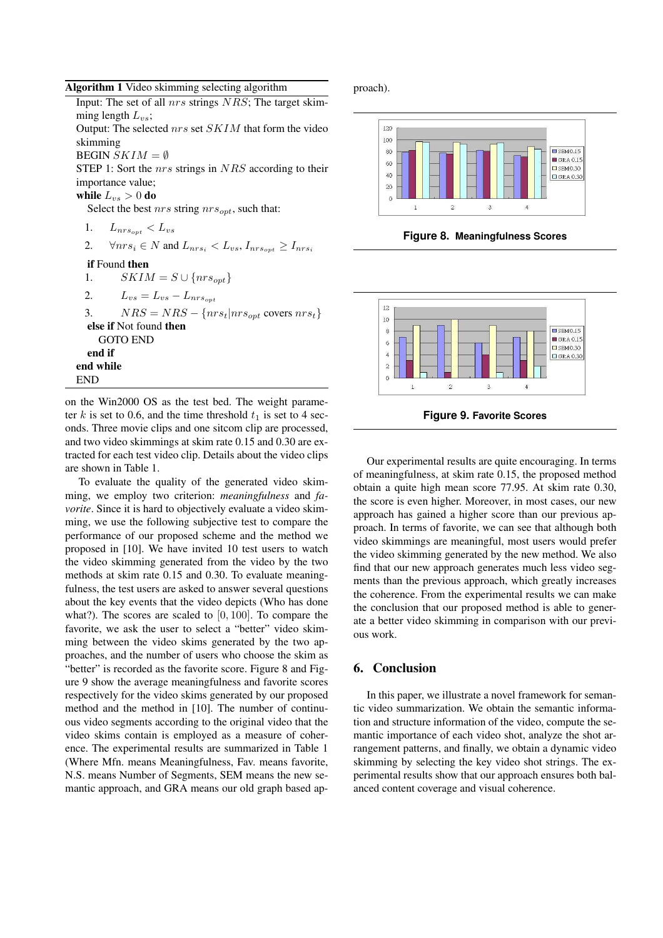#### **Algorithm 1** Video skimming selecting algorithm

Input: The set of all nrs strings NRS; The target skimming length  $L_{vs}$ ; Output: The selected nrs set SKIM that form the video skimming BEGIN  $SKIM = \emptyset$ STEP 1: Sort the *nrs* strings in NRS according to their importance value; **while**  $L_{vs} > 0$  **do** Select the best  $nrs$  string  $nrs_{opt}$ , such that: 1.  $L_{nrs_{\text{out}}} < L_{vs}$ 2.  $\forall nrs_i \in N$  and  $L_{nrs_i} < L_{vs}, I_{nrs_{out}} \geq I_{nrs_i}$ **if** Found **then** 1.  $SKIM = S \cup \{nrs_{\text{opt}}\}$ 2.  $L_{vs} = L_{vs} - L_{nrs_{opt}}$ 3.  $NRS = NRS - \{nrs_t|nrs_{ont} \text{ covers } nrs_t\}$ **else if** Not found **then** GOTO END **end if end while** END

on the Win2000 OS as the test bed. The weight parameter k is set to 0.6, and the time threshold  $t_1$  is set to 4 seconds. Three movie clips and one sitcom clip are processed, and two video skimmings at skim rate 0.15 and 0.30 are extracted for each test video clip. Details about the video clips are shown in Table 1.

To evaluate the quality of the generated video skimming, we employ two criterion: *meaningfulness* and *favorite*. Since it is hard to objectively evaluate a video skimming, we use the following subjective test to compare the performance of our proposed scheme and the method we proposed in [10]. We have invited 10 test users to watch the video skimming generated from the video by the two methods at skim rate 0.15 and 0.30. To evaluate meaningfulness, the test users are asked to answer several questions about the key events that the video depicts (Who has done what?). The scores are scaled to [0, 100]. To compare the favorite, we ask the user to select a "better" video skimming between the video skims generated by the two approaches, and the number of users who choose the skim as "better" is recorded as the favorite score. Figure 8 and Figure 9 show the average meaningfulness and favorite scores respectively for the video skims generated by our proposed method and the method in [10]. The number of continuous video segments according to the original video that the video skims contain is employed as a measure of coherence. The experimental results are summarized in Table 1 (Where Mfn. means Meaningfulness, Fav. means favorite, N.S. means Number of Segments, SEM means the new semantic approach, and GRA means our old graph based ap-

#### proach).



**Figure 8. Meaningfulness Scores**



**Figure 9. Favorite Scores**

Our experimental results are quite encouraging. In terms of meaningfulness, at skim rate 0.15, the proposed method obtain a quite high mean score 77.95. At skim rate 0.30, the score is even higher. Moreover, in most cases, our new approach has gained a higher score than our previous approach. In terms of favorite, we can see that although both video skimmings are meaningful, most users would prefer the video skimming generated by the new method. We also find that our new approach generates much less video segments than the previous approach, which greatly increases the coherence. From the experimental results we can make the conclusion that our proposed method is able to generate a better video skimming in comparison with our previous work.

# **6. Conclusion**

In this paper, we illustrate a novel framework for semantic video summarization. We obtain the semantic information and structure information of the video, compute the semantic importance of each video shot, analyze the shot arrangement patterns, and finally, we obtain a dynamic video skimming by selecting the key video shot strings. The experimental results show that our approach ensures both balanced content coverage and visual coherence.